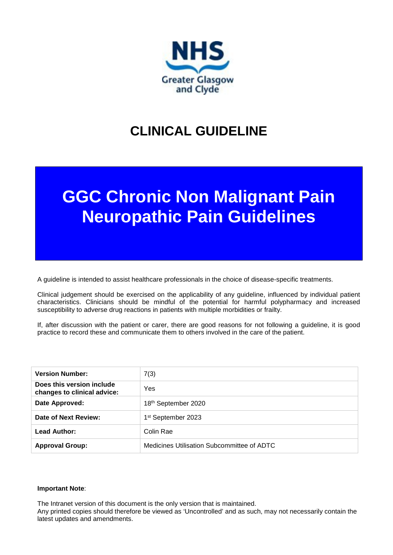

## **CLINICAL GUIDELINE**

# **GGC Chronic Non Malignant Pain Neuropathic Pain Guidelines**

A guideline is intended to assist healthcare professionals in the choice of disease-specific treatments.

Clinical judgement should be exercised on the applicability of any guideline, influenced by individual patient characteristics. Clinicians should be mindful of the potential for harmful polypharmacy and increased susceptibility to adverse drug reactions in patients with multiple morbidities or frailty.

If, after discussion with the patient or carer, there are good reasons for not following a guideline, it is good practice to record these and communicate them to others involved in the care of the patient.

| <b>Version Number:</b>                                   | 7(3)                                       |
|----------------------------------------------------------|--------------------------------------------|
| Does this version include<br>changes to clinical advice: | Yes                                        |
| Date Approved:                                           | 18th September 2020                        |
| Date of Next Review:                                     | 1 <sup>st</sup> September 2023             |
| Lead Author:                                             | Colin Rae                                  |
| <b>Approval Group:</b>                                   | Medicines Utilisation Subcommittee of ADTC |

#### **Important Note**:

The Intranet version of this document is the only version that is maintained. Any printed copies should therefore be viewed as 'Uncontrolled' and as such, may not necessarily contain the latest updates and amendments.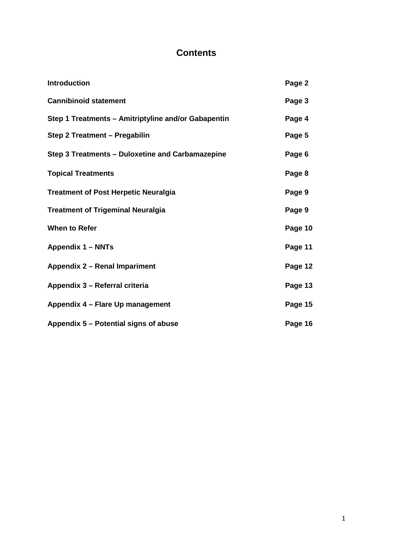### **Contents**

| Introduction                                        | Page 2  |
|-----------------------------------------------------|---------|
| <b>Cannibinoid statement</b>                        | Page 3  |
| Step 1 Treatments - Amitriptyline and/or Gabapentin | Page 4  |
| Step 2 Treatment - Pregabilin                       | Page 5  |
| Step 3 Treatments - Duloxetine and Carbamazepine    | Page 6  |
| <b>Topical Treatments</b>                           | Page 8  |
| <b>Treatment of Post Herpetic Neuralgia</b>         | Page 9  |
| <b>Treatment of Trigeminal Neuralgia</b>            | Page 9  |
| <b>When to Refer</b>                                | Page 10 |
| <b>Appendix 1 - NNTs</b>                            | Page 11 |
| Appendix 2 - Renal Impariment                       | Page 12 |
| Appendix 3 - Referral criteria                      | Page 13 |
| Appendix 4 - Flare Up management                    | Page 15 |
| Appendix 5 - Potential signs of abuse               | Page 16 |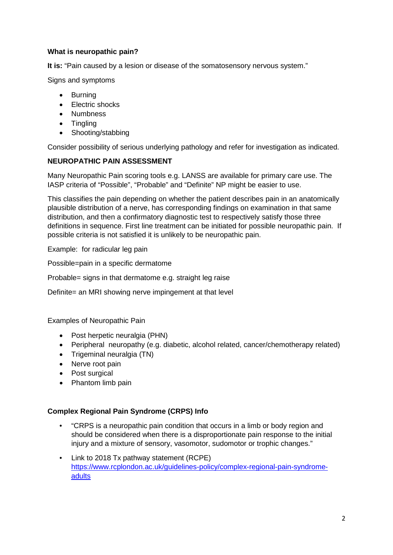#### **What is neuropathic pain?**

**It is:** "Pain caused by a lesion or disease of the somatosensory nervous system."

Signs and symptoms

- Burning
- Electric shocks
- Numbness
- Tingling
- Shooting/stabbing

Consider possibility of serious underlying pathology and refer for investigation as indicated.

#### **NEUROPATHIC PAIN ASSESSMENT**

Many Neuropathic Pain scoring tools e.g. LANSS are available for primary care use. The IASP criteria of "Possible", "Probable" and "Definite" NP might be easier to use.

This classifies the pain depending on whether the patient describes pain in an anatomically plausible distribution of a nerve, has corresponding findings on examination in that same distribution, and then a confirmatory diagnostic test to respectively satisfy those three definitions in sequence. First line treatment can be initiated for possible neuropathic pain. If possible criteria is not satisfied it is unlikely to be neuropathic pain.

Example: for radicular leg pain

Possible=pain in a specific dermatome

Probable= signs in that dermatome e.g. straight leg raise

Definite= an MRI showing nerve impingement at that level

Examples of Neuropathic Pain

- Post herpetic neuralgia (PHN)
- Peripheral neuropathy (e.g. diabetic, alcohol related, cancer/chemotherapy related)
- Trigeminal neuralgia (TN)
- Nerve root pain
- Post surgical
- Phantom limb pain

#### **Complex Regional Pain Syndrome (CRPS) Info**

- "CRPS is a neuropathic pain condition that occurs in a limb or body region and should be considered when there is a disproportionate pain response to the initial injury and a mixture of sensory, vasomotor, sudomotor or trophic changes."
- Link to 2018 Tx pathway statement (RCPE) [https://www.rcplondon.ac.uk/guidelines-policy/complex-regional-pain-syndrome](https://www.rcplondon.ac.uk/guidelines-policy/complex-regional-pain-syndrome-adults)[adults](https://www.rcplondon.ac.uk/guidelines-policy/complex-regional-pain-syndrome-adults)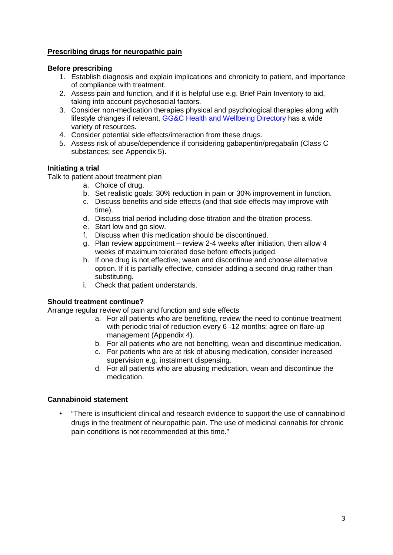#### **Prescribing drugs for neuropathic pain**

#### **Before prescribing**

- 1. Establish diagnosis and explain implications and chronicity to patient, and importance of compliance with treatment.
- 2. Assess pain and function, and if it is helpful use e.g. Brief Pain Inventory to aid, taking into account psychosocial factors.
- 3. Consider non-medication therapies physical and psychological therapies along with lifestyle changes if relevant. [GG&C Health and Wellbeing Directory](http://infodir.nhsggc.org.uk/) has a wide variety of resources.
- 4. Consider potential side effects/interaction from these drugs.
- 5. Assess risk of abuse/dependence if considering gabapentin/pregabalin (Class C substances; see Appendix 5).

#### **Initiating a trial**

Talk to patient about treatment plan

- a. Choice of drug.
- b. Set realistic goals: 30% reduction in pain or 30% improvement in function.
- c. Discuss benefits and side effects (and that side effects may improve with time).
- d. Discuss trial period including dose titration and the titration process.
- e. Start low and go slow.
- f. Discuss when this medication should be discontinued.
- g. Plan review appointment review 2-4 weeks after initiation, then allow 4 weeks of maximum tolerated dose before effects judged.
- h. If one drug is not effective, wean and discontinue and choose alternative option. If it is partially effective, consider adding a second drug rather than substituting.
- i. Check that patient understands.

#### **Should treatment continue?**

Arrange regular review of pain and function and side effects

- a. For all patients who are benefiting, review the need to continue treatment with periodic trial of reduction every 6 -12 months; agree on flare-up management (Appendix 4).
- b. For all patients who are not benefiting, wean and discontinue medication.
- c. For patients who are at risk of abusing medication, consider increased supervision e.g. instalment dispensing.
- d. For all patients who are abusing medication, wean and discontinue the medication.

#### **Cannabinoid statement**

• "There is insufficient clinical and research evidence to support the use of cannabinoid drugs in the treatment of neuropathic pain. The use of medicinal cannabis for chronic pain conditions is not recommended at this time."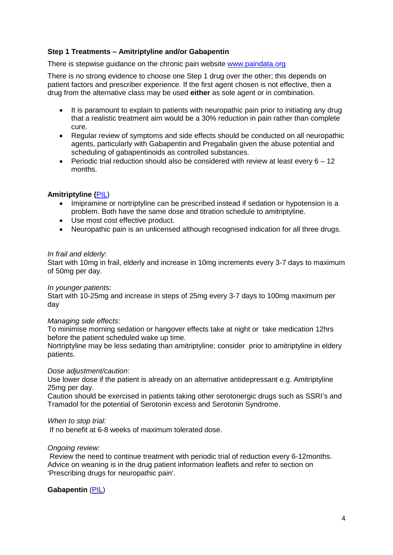#### **Step 1 Treatments – Amitriptyline and/or Gabapentin**

There is stepwise quidance on the chronic pain website [www.paindata.org](http://www.paindata.org/)

There is no strong evidence to choose one Step 1 drug over the other; this depends on patient factors and prescriber experience. If the first agent chosen is not effective, then a drug from the alternative class may be used **either** as sole agent or in combination.

- It is paramount to explain to patients with neuropathic pain prior to initiating any drug that a realistic treatment aim would be a 30% reduction in pain rather than complete cure.
- Regular review of symptoms and side effects should be conducted on all neuropathic agents, particularly with Gabapentin and Pregabalin given the abuse potential and scheduling of gabapentinoids as controlled substances.
- Periodic trial reduction should also be considered with review at least every  $6 12$ months.

#### **Amitriptyline (**[PIL\)](https://paindata.org/documents/drugs-amitriptyline.pdf)

- Imipramine or nortriptyline can be prescribed instead if sedation or hypotension is a problem. Both have the same dose and titration schedule to amitriptyline.
- Use most cost effective product.
- Neuropathic pain is an unlicensed although recognised indication for all three drugs.

#### *In frail and elderly*:

Start with 10mg in frail, elderly and increase in 10mg increments every 3-7 days to maximum of 50mg per day.

#### *In younger patients*:

Start with 10-25mg and increase in steps of 25mg every 3-7 days to 100mg maximum per day

#### *Managing side effects*:

To minimise morning sedation or hangover effects take at night or take medication 12hrs before the patient scheduled wake up time.

Nortriptyline may be less sedating than amitriptyline; consider prior to amitriptyline in eldery patients.

#### *Dose adjustment/caution*:

Use lower dose if the patient is already on an alternative antidepressant e.g. Amitriptyline 25mg per day.

Caution should be exercised in patients taking other serotonergic drugs such as SSRI's and Tramadol for the potential of Serotonin excess and Serotonin Syndrome.

#### *When to stop trial:*

If no benefit at 6-8 weeks of maximum tolerated dose.

#### *Ongoing review:*

Review the need to continue treatment with periodic trial of reduction every 6-12months. Advice on weaning is in the drug patient information leaflets and refer to section on 'Prescribing drugs for neuropathic pain'.

#### **Gabapentin** [\(PIL\)](https://paindata.org/documents/drugs-gabapentin.pdf)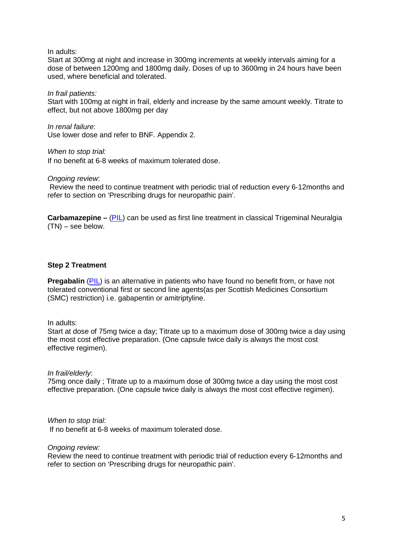In adults:

Start at 300mg at night and increase in 300mg increments at weekly intervals aiming for a dose of between 1200mg and 1800mg daily. Doses of up to 3600mg in 24 hours have been used, where beneficial and tolerated.

*In frail patients:*

Start with 100mg at night in frail, elderly and increase by the same amount weekly. Titrate to effect, but not above 1800mg per day

*In renal failure*: Use lower dose and refer to BNF. Appendix 2.

*When to stop trial:* If no benefit at 6-8 weeks of maximum tolerated dose.

*Ongoing review*:

Review the need to continue treatment with periodic trial of reduction every 6-12months and refer to section on 'Prescribing drugs for neuropathic pain'.

**Carbamazepine –** [\(PIL\)](https://paindata.org/documents/drugs-carbamazepine.pdf) can be used as first line treatment in classical Trigeminal Neuralgia (TN) – see below.

#### **Step 2 Treatment**

**Pregabalin** [\(PIL\)](https://paindata.org/documents/drugs-pregabalin.pdf) is an alternative in patients who have found no benefit from, or have not tolerated conventional first or second line agents(as per Scottish Medicines Consortium (SMC) restriction) i.e. gabapentin or amitriptyline.

In adults:

Start at dose of 75mg twice a day; Titrate up to a maximum dose of 300mg twice a day using the most cost effective preparation. (One capsule twice daily is always the most cost effective regimen).

*In frail/elderly*:

75mg once daily ; Titrate up to a maximum dose of 300mg twice a day using the most cost effective preparation. (One capsule twice daily is always the most cost effective regimen).

*When to stop trial:* If no benefit at 6-8 weeks of maximum tolerated dose.

*Ongoing review:* 

Review the need to continue treatment with periodic trial of reduction every 6-12months and refer to section on 'Prescribing drugs for neuropathic pain'.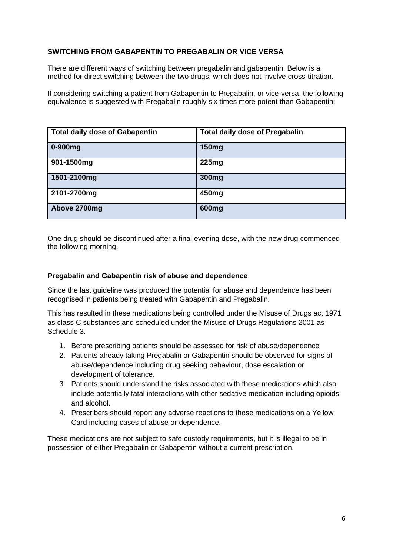#### **SWITCHING FROM GABAPENTIN TO PREGABALIN OR VICE VERSA**

There are different ways of switching between pregabalin and gabapentin. Below is a method for direct switching between the two drugs, which does not involve cross-titration.

If considering switching a patient from Gabapentin to Pregabalin, or vice-versa, the following equivalence is suggested with Pregabalin roughly six times more potent than Gabapentin:

| <b>Total daily dose of Gabapentin</b> | <b>Total daily dose of Pregabalin</b> |
|---------------------------------------|---------------------------------------|
| $0-900$ mg                            | 150 <sub>mg</sub>                     |
| 901-1500mg                            | 225mg                                 |
| 1501-2100mg                           | 300 <sub>mg</sub>                     |
| 2101-2700mg                           | 450 <sub>mg</sub>                     |
| Above 2700mg                          | 600 <sub>mg</sub>                     |

One drug should be discontinued after a final evening dose, with the new drug commenced the following morning.

#### **Pregabalin and Gabapentin risk of abuse and dependence**

Since the last guideline was produced the potential for abuse and dependence has been recognised in patients being treated with Gabapentin and Pregabalin.

This has resulted in these medications being controlled under the Misuse of Drugs act 1971 as class C substances and scheduled under the Misuse of Drugs Regulations 2001 as Schedule 3.

- 1. Before prescribing patients should be assessed for risk of abuse/dependence
- 2. Patients already taking Pregabalin or Gabapentin should be observed for signs of abuse/dependence including drug seeking behaviour, dose escalation or development of tolerance.
- 3. Patients should understand the risks associated with these medications which also include potentially fatal interactions with other sedative medication including opioids and alcohol.
- 4. Prescribers should report any adverse reactions to these medications on a Yellow Card including cases of abuse or dependence.

These medications are not subject to safe custody requirements, but it is illegal to be in possession of either Pregabalin or Gabapentin without a current prescription.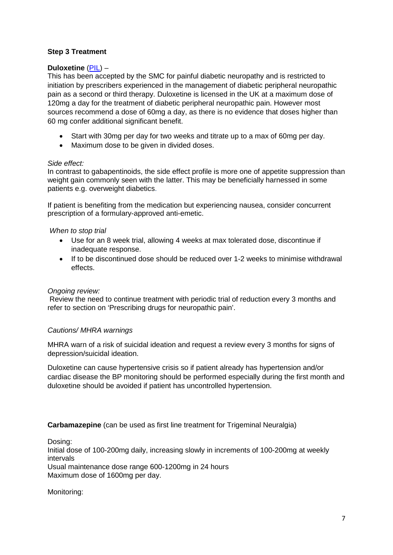#### **Step 3 Treatment**

#### **Duloxetine** [\(PIL\)](https://paindata.org/documents/drugs-duloxetine.pdf) –

This has been accepted by the SMC for painful diabetic neuropathy and is restricted to initiation by prescribers experienced in the management of diabetic peripheral neuropathic pain as a second or third therapy. Duloxetine is licensed in the UK at a maximum dose of 120mg a day for the treatment of diabetic peripheral neuropathic pain. However most sources recommend a dose of 60mg a day, as there is no evidence that doses higher than 60 mg confer additional significant benefit.

- Start with 30mg per day for two weeks and titrate up to a max of 60mg per day.
- Maximum dose to be given in divided doses.

#### *Side effect:*

In contrast to gabapentinoids, the side effect profile is more one of appetite suppression than weight gain commonly seen with the latter. This may be beneficially harnessed in some patients e.g. overweight diabetics.

If patient is benefiting from the medication but experiencing nausea, consider concurrent prescription of a formulary-approved anti-emetic.

#### *When to stop trial*

- Use for an 8 week trial, allowing 4 weeks at max tolerated dose, discontinue if inadequate response.
- If to be discontinued dose should be reduced over 1-2 weeks to minimise withdrawal effects.

#### *Ongoing review:*

Review the need to continue treatment with periodic trial of reduction every 3 months and refer to section on 'Prescribing drugs for neuropathic pain'.

#### *Cautions/ MHRA warnings*

MHRA warn of a risk of suicidal ideation and request a review every 3 months for signs of depression/suicidal ideation.

Duloxetine can cause hypertensive crisis so if patient already has hypertension and/or cardiac disease the BP monitoring should be performed especially during the first month and duloxetine should be avoided if patient has uncontrolled hypertension.

#### **Carbamazepine** (can be used as first line treatment for Trigeminal Neuralgia)

Dosing: Initial dose of 100-200mg daily, increasing slowly in increments of 100-200mg at weekly intervals Usual maintenance dose range 600-1200mg in 24 hours Maximum dose of 1600mg per day.

#### Monitoring: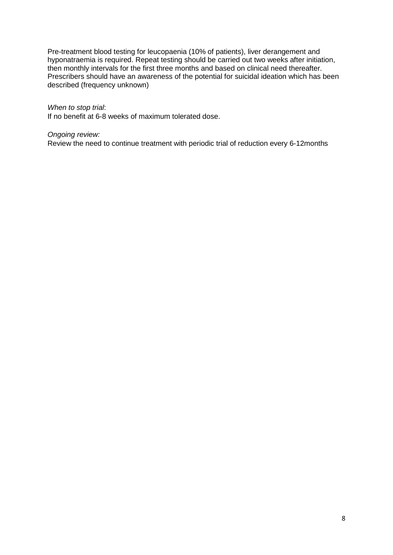Pre-treatment blood testing for leucopaenia (10% of patients), liver derangement and hyponatraemia is required. Repeat testing should be carried out two weeks after initiation, then monthly intervals for the first three months and based on clinical need thereafter. Prescribers should have an awareness of the potential for suicidal ideation which has been described (frequency unknown)

#### *When to stop trial*:

If no benefit at 6-8 weeks of maximum tolerated dose.

#### *Ongoing review:*

Review the need to continue treatment with periodic trial of reduction every 6-12months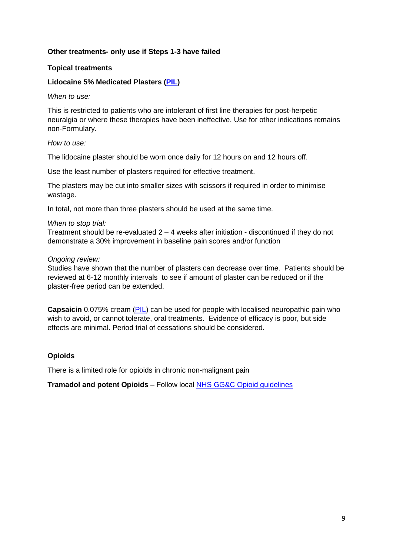#### **Other treatments- only use if Steps 1-3 have failed**

#### **Topical treatments**

#### **Lidocaine 5% Medicated Plasters [\(PIL\)](https://paindata.org/documents/drugs-lidocaine.pdf)**

*When to use:*

This is restricted to patients who are intolerant of first line therapies for post-herpetic neuralgia or where these therapies have been ineffective. Use for other indications remains non-Formulary.

#### *How to use:*

The lidocaine plaster should be worn once daily for 12 hours on and 12 hours off.

Use the least number of plasters required for effective treatment.

The plasters may be cut into smaller sizes with scissors if required in order to minimise wastage.

In total, not more than three plasters should be used at the same time.

#### *When to stop trial:*

Treatment should be re-evaluated  $2 - 4$  weeks after initiation - discontinued if they do not demonstrate a 30% improvement in baseline pain scores and/or function

#### *Ongoing review:*

Studies have shown that the number of plasters can decrease over time. Patients should be reviewed at 6-12 monthly intervals to see if amount of plaster can be reduced or if the plaster-free period can be extended.

**Capsaicin** 0.075% cream [\(PIL\)](https://paindata.org/documents/drugs-capsaicin.pdf) can be used for people with localised neuropathic pain who wish to avoid, or cannot tolerate, oral treatments. Evidence of efficacy is poor, but side effects are minimal. Period trial of cessations should be considered.

#### **Opioids**

There is a limited role for opioids in chronic non-malignant pain

**Tramadol and potent Opioids** – Follow local [NHS GG&C Opioid guidelines](https://paindata.org/documents/Chronic%20Non%20Malignant%20Pain%20Opioid%20Guideline%20-%20final%20PDF%20version.pdf)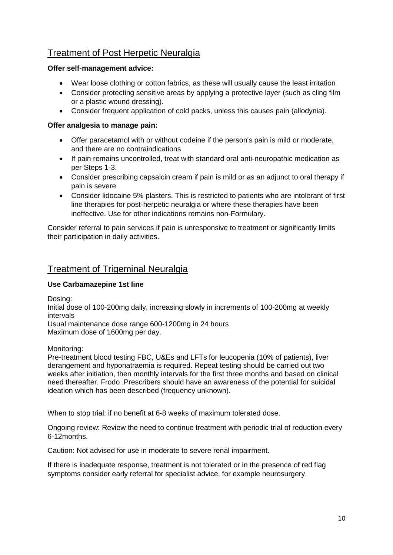### Treatment of Post Herpetic Neuralgia

#### **Offer self-management advice:**

- Wear loose clothing or cotton fabrics, as these will usually cause the least irritation
- Consider protecting sensitive areas by applying a protective layer (such as cling film or a plastic wound dressing).
- Consider frequent application of cold packs, unless this causes pain (allodynia).

#### **Offer analgesia to manage pain:**

- Offer paracetamol with or without codeine if the person's pain is mild or moderate, and there are no contraindications
- If pain remains uncontrolled, treat with standard oral anti-neuropathic medication as per Steps 1-3.
- Consider prescribing capsaicin cream if pain is mild or as an adjunct to oral therapy if pain is severe
- Consider lidocaine 5% plasters. This is restricted to patients who are intolerant of first line therapies for post-herpetic neuralgia or where these therapies have been ineffective. Use for other indications remains non-Formulary.

Consider referral to pain services if pain is unresponsive to treatment or significantly limits their participation in daily activities.

### Treatment of Trigeminal Neuralgia

#### **Use Carbamazepine 1st line**

Dosing:

Initial dose of 100-200mg daily, increasing slowly in increments of 100-200mg at weekly intervals

Usual maintenance dose range 600-1200mg in 24 hours Maximum dose of 1600mg per day.

Monitoring:

Pre-treatment blood testing FBC, U&Es and LFTs for leucopenia (10% of patients), liver derangement and hyponatraemia is required. Repeat testing should be carried out two weeks after initiation, then monthly intervals for the first three months and based on clinical need thereafter. Frodo .Prescribers should have an awareness of the potential for suicidal ideation which has been described (frequency unknown).

When to stop trial: if no benefit at 6-8 weeks of maximum tolerated dose.

Ongoing review: Review the need to continue treatment with periodic trial of reduction every 6-12months.

Caution: Not advised for use in moderate to severe renal impairment.

If there is inadequate response, treatment is not tolerated or in the presence of red flag symptoms consider early referral for specialist advice, for example neurosurgery.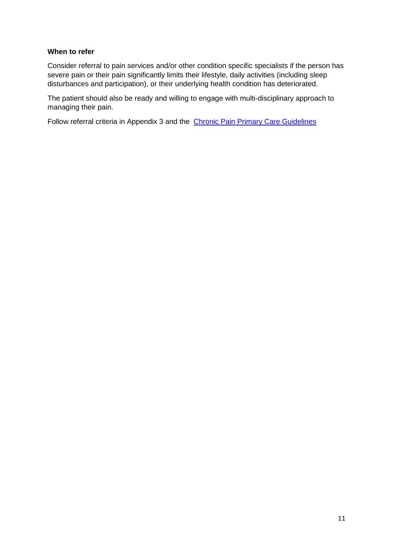#### **When to refer**

Consider referral to pain services and/or other condition specific specialists if the person has severe pain or their pain significantly limits their lifestyle, daily activities (including sleep disturbances and participation), or their underlying health condition has deteriorated.

The patient should also be ready and willing to engage with multi-disciplinary approach to managing their pain.

Follow referral criteria in Appendix 3 and the [Chronic Pain Primary Care Guidelines](https://paindata.org/documents/Chronic%20Pain%20Management%20in%20Primary%20Care%20August%202018.pdf)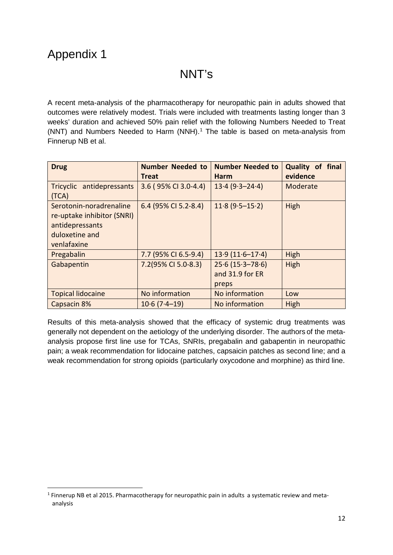## NNT's

A recent meta-analysis of the pharmacotherapy for neuropathic pain in adults showed that outcomes were relatively modest. Trials were included with treatments lasting longer than 3 weeks' duration and achieved 50% pain relief with the following Numbers Needed to Treat (NNT) and Numbers Needed to Harm (NNH).<sup>[1](#page-12-0)</sup> The table is based on meta-analysis from Finnerup NB et al.

| <b>Drug</b>                                                                                               | <b>Number Needed to</b><br>Treat | <b>Number Needed to</b><br><b>Harm</b>          | Quality of final<br>evidence |
|-----------------------------------------------------------------------------------------------------------|----------------------------------|-------------------------------------------------|------------------------------|
| Tricyclic antidepressants<br>(TCA)                                                                        | 3.6 (95% CI 3.0-4.4)             | $13.4(9.3 - 24.4)$                              | Moderate                     |
| Serotonin-noradrenaline<br>re-uptake inhibitor (SNRI)<br>antidepressants<br>duloxetine and<br>venlafaxine | 6.4 (95% CI 5.2-8.4)             | $11.8(9.5 - 15.2)$                              | High                         |
| Pregabalin                                                                                                | 7.7 (95% CI 6.5-9.4)             | $13.9(11.6 - 17.4)$                             | High                         |
| Gabapentin                                                                                                | 7.2(95% CI 5.0-8.3)              | $25.6(15.3 - 78.6)$<br>and 31.9 for ER<br>preps | High                         |
| <b>Topical lidocaine</b>                                                                                  | No information                   | No information                                  | Low                          |
| Capsacin 8%                                                                                               | $10.6(7.4-19)$                   | No information                                  | High                         |

Results of this meta-analysis showed that the efficacy of systemic drug treatments was generally not dependent on the aetiology of the underlying disorder. The authors of the metaanalysis propose first line use for TCAs, SNRIs, pregabalin and gabapentin in neuropathic pain; a weak recommendation for lidocaine patches, capsaicin patches as second line; and a weak recommendation for strong opioids (particularly oxycodone and morphine) as third line.

<span id="page-12-0"></span> $1$  Finnerup NB et al 2015. Pharmacotherapy for neuropathic pain in adults a systematic review and metaanalysis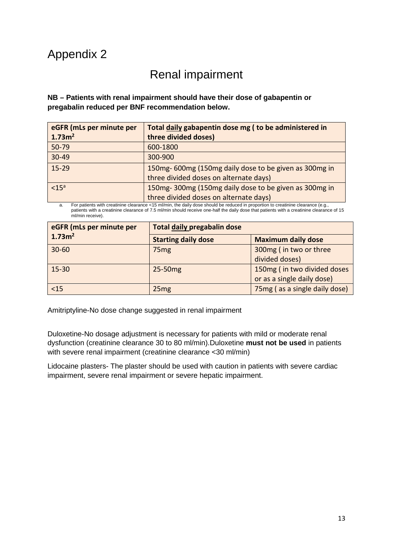## Appendix 2

## Renal impairment

**NB – Patients with renal impairment should have their dose of gabapentin or pregabalin reduced per BNF recommendation below.** 

| eGFR (mLs per minute per | Total daily gabapentin dose mg (to be administered in |  |
|--------------------------|-------------------------------------------------------|--|
| 1.73m <sup>2</sup>       | three divided doses)                                  |  |
| $50 - 79$                | 600-1800                                              |  |
| $30 - 49$                | 300-900                                               |  |
| $15 - 29$                | 150mg-600mg (150mg daily dose to be given as 300mg in |  |
|                          | three divided doses on alternate days)                |  |
| < 15 <sup>a</sup>        | 150mg-300mg (150mg daily dose to be given as 300mg in |  |
|                          | three divided doses on alternate days)                |  |

a. For patients with creatinine clearance <15 ml/min, the daily dose should be reduced in proportion to creatinine clearance (e.g., patients with a creatinine clearance of 7.5 ml/min should receive one-half the daily dose that patients with a creatinine clearance of 15 ml/min receive).

| eGFR (mLs per minute per | <b>Total daily pregabalin dose</b> |                               |
|--------------------------|------------------------------------|-------------------------------|
| 1.73m <sup>2</sup>       | <b>Starting daily dose</b>         | <b>Maximum daily dose</b>     |
| $30 - 60$                | 75 <sub>mg</sub>                   | 300mg (in two or three        |
|                          |                                    | divided doses)                |
| $15 - 30$                | 25-50mg                            | 150mg (in two divided doses   |
|                          |                                    | or as a single daily dose)    |
| $15$                     | 25mg                               | 75mg (as a single daily dose) |

Amitriptyline-No dose change suggested in renal impairment

Duloxetine-No dosage adjustment is necessary for patients with mild or moderate renal dysfunction (creatinine clearance 30 to 80 ml/min).Duloxetine **must not be used** in patients with severe renal impairment (creatinine clearance <30 ml/min)

Lidocaine plasters- The plaster should be used with caution in patients with severe cardiac impairment, severe renal impairment or severe hepatic impairment.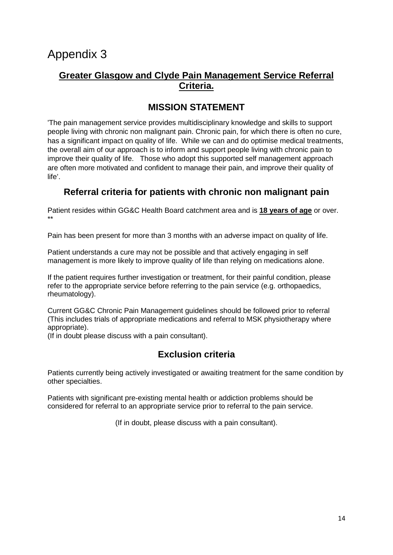### **Greater Glasgow and Clyde Pain Management Service Referral Criteria.**

## **MISSION STATEMENT**

'The pain management service provides multidisciplinary knowledge and skills to support people living with chronic non malignant pain. Chronic pain, for which there is often no cure, has a significant impact on quality of life. While we can and do optimise medical treatments, the overall aim of our approach is to inform and support people living with chronic pain to improve their quality of life. Those who adopt this supported self management approach are often more motivated and confident to manage their pain, and improve their quality of life'.

### **Referral criteria for patients with chronic non malignant pain**

Patient resides within GG&C Health Board catchment area and is **18 years of age** or over. \*\*

Pain has been present for more than 3 months with an adverse impact on quality of life.

Patient understands a cure may not be possible and that actively engaging in self management is more likely to improve quality of life than relying on medications alone.

If the patient requires further investigation or treatment, for their painful condition, please refer to the appropriate service before referring to the pain service (e.g. orthopaedics, rheumatology).

Current GG&C Chronic Pain Management guidelines should be followed prior to referral (This includes trials of appropriate medications and referral to MSK physiotherapy where appropriate).

(If in doubt please discuss with a pain consultant).

### **Exclusion criteria**

Patients currently being actively investigated or awaiting treatment for the same condition by other specialties.

Patients with significant pre-existing mental health or addiction problems should be considered for referral to an appropriate service prior to referral to the pain service.

(If in doubt, please discuss with a pain consultant).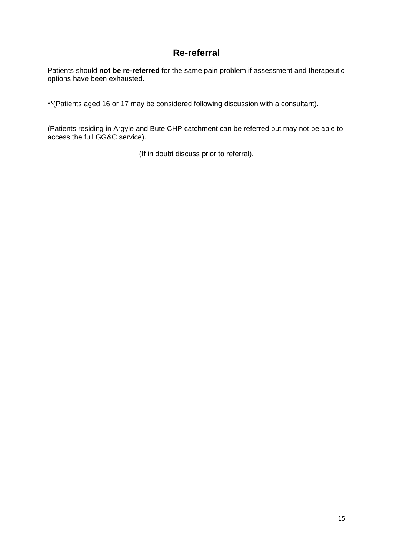### **Re-referral**

Patients should **not be re-referred** for the same pain problem if assessment and therapeutic options have been exhausted.

\*\*(Patients aged 16 or 17 may be considered following discussion with a consultant).

(Patients residing in Argyle and Bute CHP catchment can be referred but may not be able to access the full GG&C service).

(If in doubt discuss prior to referral).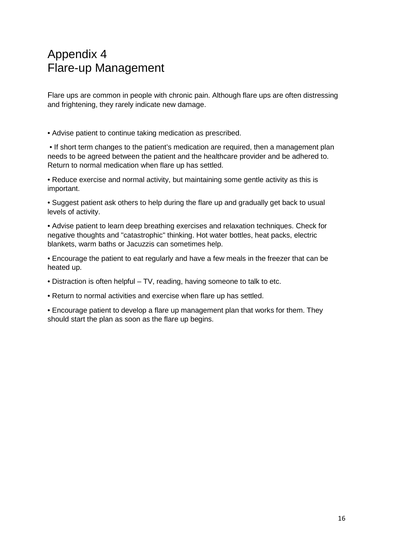## Appendix 4 Flare-up Management

Flare ups are common in people with chronic pain. Although flare ups are often distressing and frightening, they rarely indicate new damage.

• Advise patient to continue taking medication as prescribed.

• If short term changes to the patient's medication are required, then a management plan needs to be agreed between the patient and the healthcare provider and be adhered to. Return to normal medication when flare up has settled.

• Reduce exercise and normal activity, but maintaining some gentle activity as this is important.

• Suggest patient ask others to help during the flare up and gradually get back to usual levels of activity.

• Advise patient to learn deep breathing exercises and relaxation techniques. Check for negative thoughts and "catastrophic" thinking. Hot water bottles, heat packs, electric blankets, warm baths or Jacuzzis can sometimes help.

• Encourage the patient to eat regularly and have a few meals in the freezer that can be heated up.

- Distraction is often helpful TV, reading, having someone to talk to etc.
- Return to normal activities and exercise when flare up has settled.

• Encourage patient to develop a flare up management plan that works for them. They should start the plan as soon as the flare up begins.